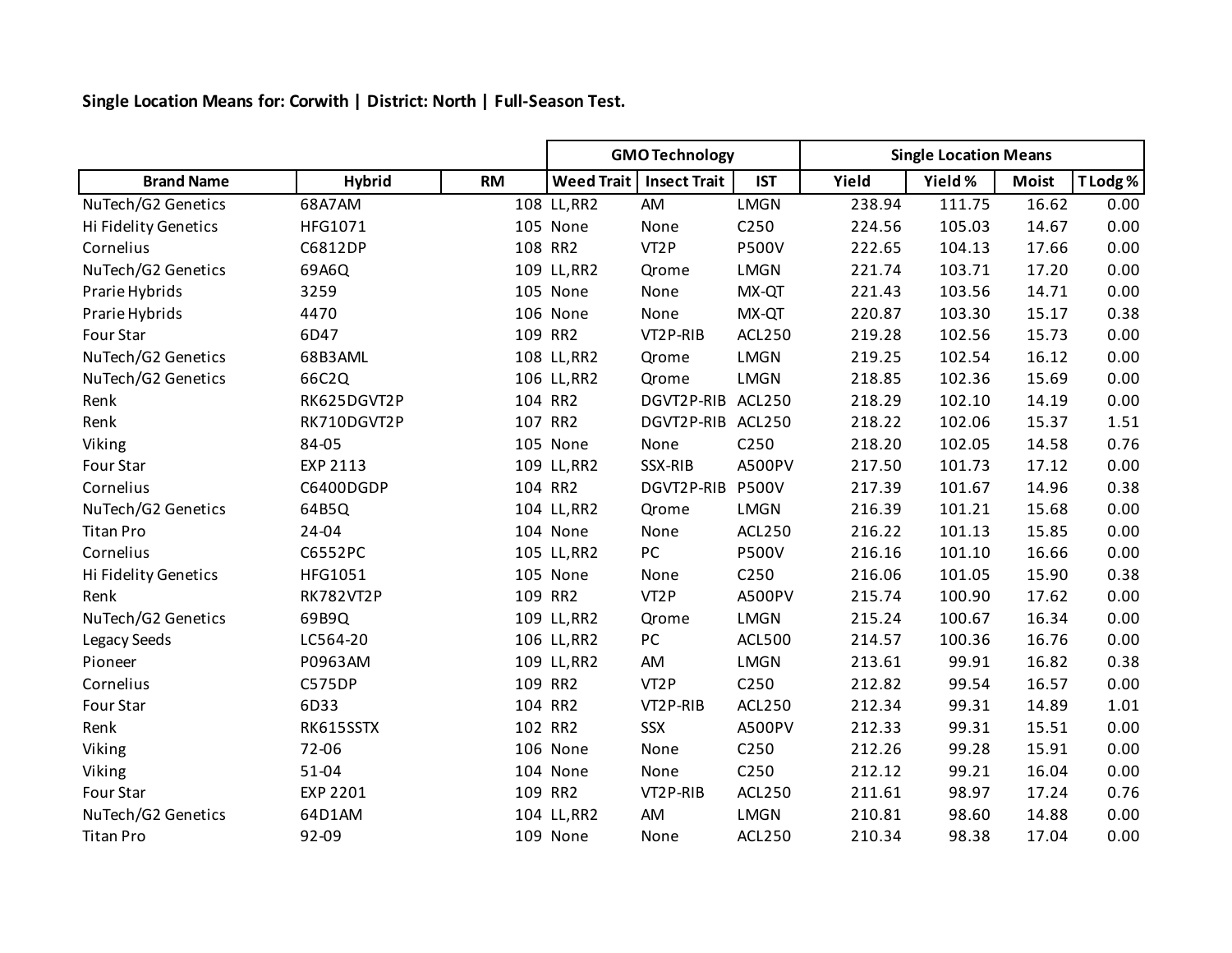**Single Location Means for: Corwith | District: North | Full-Season Test.**

|                      |                  |           | <b>GMO Technology</b> |                     |               | <b>Single Location Means</b> |         |              |          |
|----------------------|------------------|-----------|-----------------------|---------------------|---------------|------------------------------|---------|--------------|----------|
| <b>Brand Name</b>    | <b>Hybrid</b>    | <b>RM</b> | <b>Weed Trait</b>     | <b>Insect Trait</b> | <b>IST</b>    | Yield                        | Yield % | <b>Moist</b> | T Lodg % |
| NuTech/G2 Genetics   | 68A7AM           |           | 108 LL, RR2           | AM                  | <b>LMGN</b>   | 238.94                       | 111.75  | 16.62        | 0.00     |
| Hi Fidelity Genetics | HFG1071          |           | 105 None              | None                | C250          | 224.56                       | 105.03  | 14.67        | 0.00     |
| Cornelius            | C6812DP          |           | 108 RR2               | VT <sub>2</sub> P   | <b>P500V</b>  | 222.65                       | 104.13  | 17.66        | 0.00     |
| NuTech/G2 Genetics   | 69A6Q            |           | 109 LL, RR2           | Qrome               | <b>LMGN</b>   | 221.74                       | 103.71  | 17.20        | 0.00     |
| Prarie Hybrids       | 3259             |           | 105 None              | None                | MX-QT         | 221.43                       | 103.56  | 14.71        | 0.00     |
| Prarie Hybrids       | 4470             |           | 106 None              | None                | MX-QT         | 220.87                       | 103.30  | 15.17        | 0.38     |
| Four Star            | 6D47             |           | 109 RR2               | VT2P-RIB            | ACL250        | 219.28                       | 102.56  | 15.73        | 0.00     |
| NuTech/G2 Genetics   | 68B3AML          |           | 108 LL, RR2           | Qrome               | <b>LMGN</b>   | 219.25                       | 102.54  | 16.12        | 0.00     |
| NuTech/G2 Genetics   | 66C2Q            |           | 106 LL, RR2           | Qrome               | <b>LMGN</b>   | 218.85                       | 102.36  | 15.69        | 0.00     |
| Renk                 | RK625DGVT2P      |           | 104 RR2               | DGVT2P-RIB ACL250   |               | 218.29                       | 102.10  | 14.19        | 0.00     |
| Renk                 | RK710DGVT2P      |           | 107 RR2               | DGVT2P-RIB ACL250   |               | 218.22                       | 102.06  | 15.37        | 1.51     |
| Viking               | 84-05            |           | 105 None              | None                | C250          | 218.20                       | 102.05  | 14.58        | 0.76     |
| Four Star            | EXP 2113         |           | 109 LL, RR2           | SSX-RIB             | <b>A500PV</b> | 217.50                       | 101.73  | 17.12        | 0.00     |
| Cornelius            | C6400DGDP        |           | 104 RR2               | DGVT2P-RIB          | <b>P500V</b>  | 217.39                       | 101.67  | 14.96        | 0.38     |
| NuTech/G2 Genetics   | 64B5Q            |           | 104 LL, RR2           | Qrome               | <b>LMGN</b>   | 216.39                       | 101.21  | 15.68        | 0.00     |
| <b>Titan Pro</b>     | 24-04            |           | 104 None              | None                | <b>ACL250</b> | 216.22                       | 101.13  | 15.85        | 0.00     |
| Cornelius            | C6552PC          |           | 105 LL, RR2           | PC                  | <b>P500V</b>  | 216.16                       | 101.10  | 16.66        | 0.00     |
| Hi Fidelity Genetics | HFG1051          |           | 105 None              | None                | C250          | 216.06                       | 101.05  | 15.90        | 0.38     |
| Renk                 | <b>RK782VT2P</b> |           | 109 RR2               | VT <sub>2</sub> P   | A500PV        | 215.74                       | 100.90  | 17.62        | 0.00     |
| NuTech/G2 Genetics   | 69B9Q            |           | 109 LL, RR2           | Qrome               | <b>LMGN</b>   | 215.24                       | 100.67  | 16.34        | 0.00     |
| Legacy Seeds         | LC564-20         |           | 106 LL, RR2           | PC                  | <b>ACL500</b> | 214.57                       | 100.36  | 16.76        | 0.00     |
| Pioneer              | P0963AM          |           | 109 LL, RR2           | AM                  | <b>LMGN</b>   | 213.61                       | 99.91   | 16.82        | 0.38     |
| Cornelius            | <b>C575DP</b>    |           | 109 RR2               | VT <sub>2</sub> P   | C250          | 212.82                       | 99.54   | 16.57        | 0.00     |
| Four Star            | 6D33             |           | 104 RR2               | VT2P-RIB            | ACL250        | 212.34                       | 99.31   | 14.89        | 1.01     |
| Renk                 | RK615SSTX        |           | 102 RR2               | SSX                 | A500PV        | 212.33                       | 99.31   | 15.51        | 0.00     |
| Viking               | 72-06            |           | 106 None              | None                | C250          | 212.26                       | 99.28   | 15.91        | 0.00     |
| Viking               | $51 - 04$        |           | 104 None              | None                | C250          | 212.12                       | 99.21   | 16.04        | 0.00     |
| Four Star            | EXP 2201         |           | 109 RR2               | VT2P-RIB            | <b>ACL250</b> | 211.61                       | 98.97   | 17.24        | 0.76     |
| NuTech/G2 Genetics   | 64D1AM           |           | 104 LL, RR2           | AM                  | <b>LMGN</b>   | 210.81                       | 98.60   | 14.88        | 0.00     |
| <b>Titan Pro</b>     | 92-09            |           | 109 None              | None                | <b>ACL250</b> | 210.34                       | 98.38   | 17.04        | 0.00     |